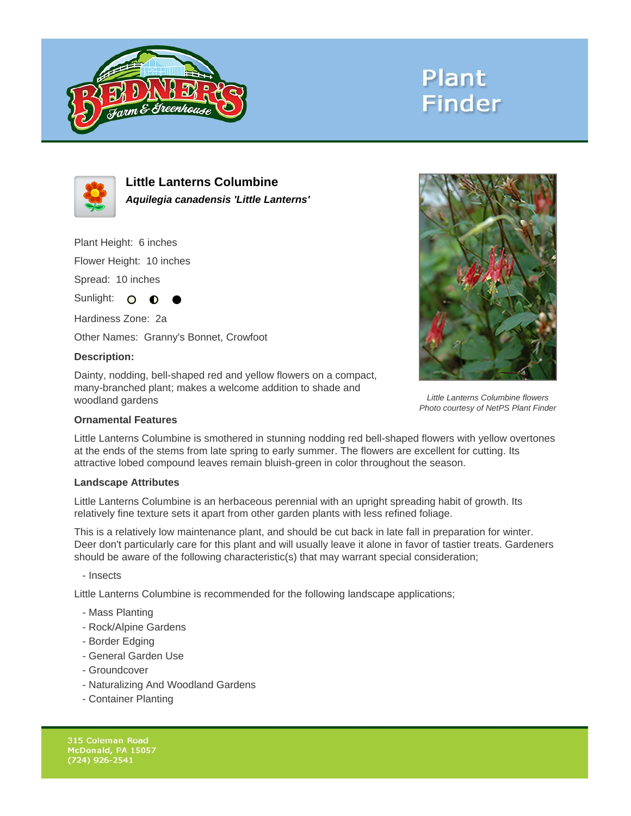

# **Plant Finder**



**Little Lanterns Columbine Aquilegia canadensis 'Little Lanterns'**

Plant Height: 6 inches

Flower Height: 10 inches

Spread: 10 inches

Sunlight: O **O** 

Hardiness Zone: 2a

Other Names: Granny's Bonnet, Crowfoot

### **Description:**

Dainty, nodding, bell-shaped red and yellow flowers on a compact, many-branched plant; makes a welcome addition to shade and woodland gardens



Little Lanterns Columbine flowers Photo courtesy of NetPS Plant Finder

#### **Ornamental Features**

Little Lanterns Columbine is smothered in stunning nodding red bell-shaped flowers with yellow overtones at the ends of the stems from late spring to early summer. The flowers are excellent for cutting. Its attractive lobed compound leaves remain bluish-green in color throughout the season.

#### **Landscape Attributes**

Little Lanterns Columbine is an herbaceous perennial with an upright spreading habit of growth. Its relatively fine texture sets it apart from other garden plants with less refined foliage.

This is a relatively low maintenance plant, and should be cut back in late fall in preparation for winter. Deer don't particularly care for this plant and will usually leave it alone in favor of tastier treats. Gardeners should be aware of the following characteristic(s) that may warrant special consideration;

- Insects

Little Lanterns Columbine is recommended for the following landscape applications;

- Mass Planting
- Rock/Alpine Gardens
- Border Edging
- General Garden Use
- Groundcover
- Naturalizing And Woodland Gardens
- Container Planting

315 Coleman Road McDonald, PA 15057  $(724)$  926-2541